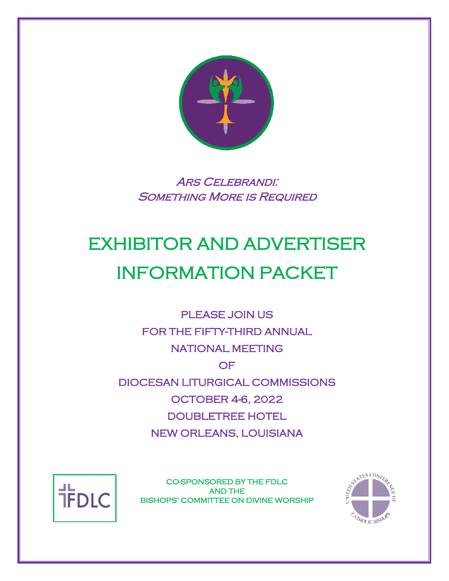

ARS CELEBRANDI: SOMETHING MORE IS REQUIRED

# EXHIBITOR AND ADVERTISER INFORMATION PACKET

PLEASE JOIN US FOR THE FIFTY-THIRD ANNUAL NATIONAL MEETING OF DIOCESAN LITURGICAL COMMISSIONS OCTOBER 4-6, 2022 DOUBLETREE HOTEL NEW ORLEANS, LOUISIANA



CO-SPONSORED BY THE FDLC AND THE BISHOPS' COMMITTEE ON DIVINE WORSHIP

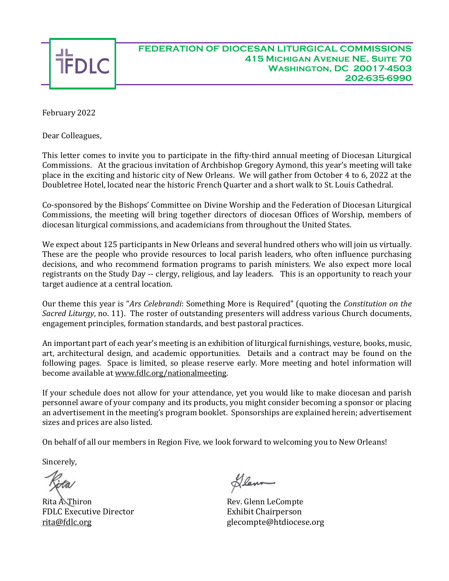

#### **FEDERATION OF DIOCESAN LITURGICAL COMMISSIONS 415 Michigan Avenue NE, Suite 70 Washington, DC 20017-4503 202-635-6990**

February 2022

Dear Colleagues,

This letter comes to invite you to participate in the fifty-third annual meeting of Diocesan Liturgical Commissions. At the gracious invitation of Archbishop Gregory Aymond, this year's meeting will take place in the exciting and historic city of New Orleans. We will gather from October 4 to 6, 2022 at the Doubletree Hotel, located near the historic French Quarter and a short walk to St. Louis Cathedral.

Co-sponsored by the Bishops' Committee on Divine Worship and the Federation of Diocesan Liturgical Commissions, the meeting will bring together directors of diocesan Offices of Worship, members of diocesan liturgical commissions, and academicians from throughout the United States.

We expect about 125 participants in New Orleans and several hundred others who will join us virtually. These are the people who provide resources to local parish leaders, who often influence purchasing decisions, and who recommend formation programs to parish ministers. We also expect more local registrants on the Study Day -- clergy, religious, and lay leaders. This is an opportunity to reach your target audience at a central location.

Our theme this year is "*Ars Celebrandi*: Something More is Required" (quoting the *Constitution on the Sacred Liturgy*, no. 11). The roster of outstanding presenters will address various Church documents, engagement principles, formation standards, and best pastoral practices.

An important part of each year's meeting is an exhibition of liturgical furnishings, vesture, books, music, art, architectural design, and academic opportunities. Details and a contract may be found on the following pages. Space is limited, so please reserve early. More meeting and hotel information will become available at [www.fdlc.org/nationalmeeting.](http://www.fdlc.org/nationalmeeting)

If your schedule does not allow for your attendance, yet you would like to make diocesan and parish personnel aware of your company and its products, you might consider becoming a sponsor or placing an advertisement in the meeting's program booklet. Sponsorships are explained herein; advertisement sizes and prices are also listed.

On behalf of all our members in Region Five, we look forward to welcoming you to New Orleans!

Sincerely,

Rita A. Thiron **Rev.** Glenn LeCompte FDLC Executive Director **Exhibit Chairperson** 

Denn

[rita@fdlc.org](mailto:rita@fdlc.org) glecompte@htdiocese.org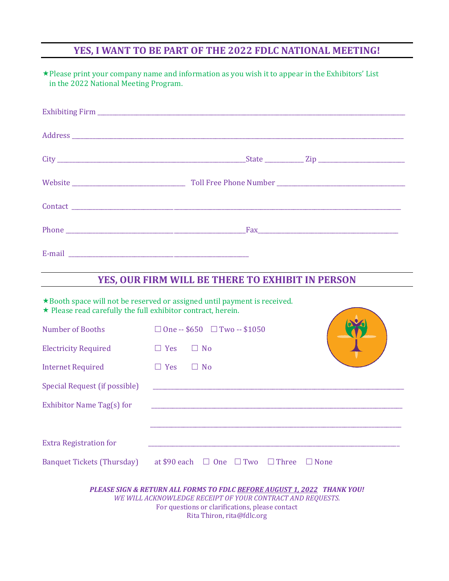# **YES, I WANT TO BE PART OF THE 2022 FDLC NATIONAL MEETING!**

| in the 2022 National Meeting Program. | * Please print your company name and information as you wish it to appear in the Exhibitors' List |
|---------------------------------------|---------------------------------------------------------------------------------------------------|
|                                       |                                                                                                   |
|                                       |                                                                                                   |
|                                       |                                                                                                   |
|                                       |                                                                                                   |
|                                       |                                                                                                   |
|                                       |                                                                                                   |
|                                       |                                                                                                   |

## **YES, OUR FIRM WILL BE THERE TO EXHIBIT IN PERSON**

**Contract Contract** 

\* Booth space will not be reserved or assigned until payment is received.

 $\star$  Please read carefully the full exhibitor contract, herein.

| Number of Booths                  | $\Box$ One -- \$650 $\Box$ Two -- \$1050                       |  |
|-----------------------------------|----------------------------------------------------------------|--|
| <b>Electricity Required</b>       | Yes<br><b>No</b><br>$\Box$                                     |  |
| <b>Internet Required</b>          | $\Box$ No<br>$\Box$ Yes                                        |  |
| Special Request (if possible)     |                                                                |  |
| Exhibitor Name Tag(s) for         |                                                                |  |
|                                   |                                                                |  |
| <b>Extra Registration for</b>     |                                                                |  |
| <b>Banquet Tickets (Thursday)</b> | at \$90 each $\Box$ One $\Box$ Two $\Box$ Three<br>$\Box$ None |  |
|                                   |                                                                |  |

*PLEASE SIGN & RETURN ALL FORMS TO FDLC BEFORE AUGUST 1, 2022 THANK YOU! WE WILL ACKNOWLEDGE RECEIPT OF YOUR CONTRACT AND REQUESTS.* For questions or clarifications, please contact Rita Thiron, [rita@fdlc.org](mailto:rita@fdlc.org)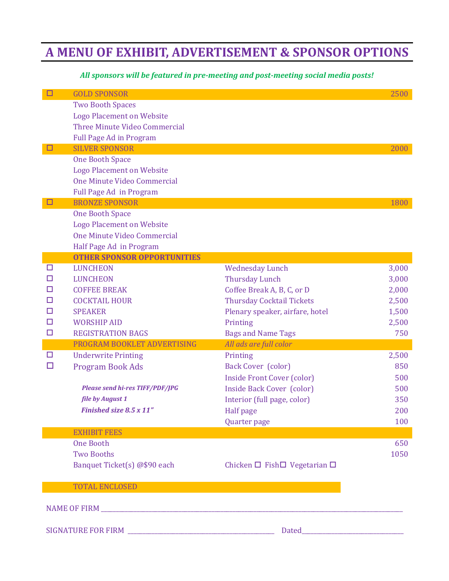# **A MENU OF EXHIBIT, ADVERTISEMENT & SPONSOR OPTIONS**

### *All sponsors will be featured in pre-meeting and post-meeting social media posts!*

| □      | <b>GOLD SPONSOR</b>                                     |                                              | 2500           |  |
|--------|---------------------------------------------------------|----------------------------------------------|----------------|--|
|        | <b>Two Booth Spaces</b>                                 |                                              |                |  |
|        | <b>Logo Placement on Website</b>                        |                                              |                |  |
|        | Three Minute Video Commercial                           |                                              |                |  |
| □      | <b>Full Page Ad in Program</b><br><b>SILVER SPONSOR</b> |                                              | 2000           |  |
|        | <b>One Booth Space</b>                                  |                                              |                |  |
|        | <b>Logo Placement on Website</b>                        |                                              |                |  |
|        | One Minute Video Commercial                             |                                              |                |  |
|        | Full Page Ad in Program                                 |                                              |                |  |
| □      | <b>BRONZE SPONSOR</b>                                   |                                              | 1800           |  |
|        | <b>One Booth Space</b>                                  |                                              |                |  |
|        | <b>Logo Placement on Website</b>                        |                                              |                |  |
|        | One Minute Video Commercial                             |                                              |                |  |
|        | Half Page Ad in Program                                 |                                              |                |  |
|        | <b>OTHER SPONSOR OPPORTUNITIES</b>                      |                                              |                |  |
| □      | <b>LUNCHEON</b>                                         | <b>Wednesday Lunch</b>                       | 3,000          |  |
| □      | <b>LUNCHEON</b>                                         | <b>Thursday Lunch</b>                        | 3,000          |  |
| □      | <b>COFFEE BREAK</b>                                     | Coffee Break A, B, C, or D                   | 2,000          |  |
| □<br>□ | <b>COCKTAIL HOUR</b>                                    | <b>Thursday Cocktail Tickets</b>             | 2,500          |  |
| □      | <b>SPEAKER</b><br><b>WORSHIP AID</b>                    | Plenary speaker, airfare, hotel              | 1,500<br>2,500 |  |
| □      | <b>REGISTRATION BAGS</b>                                | Printing<br><b>Bags and Name Tags</b>        | 750            |  |
|        | PROGRAM BOOKLET ADVERTISING                             | All ads are full color                       |                |  |
| □      | <b>Underwrite Printing</b>                              | Printing                                     | 2,500          |  |
| □      | <b>Program Book Ads</b>                                 | <b>Back Cover (color)</b>                    | 850            |  |
|        |                                                         | <b>Inside Front Cover (color)</b>            | 500            |  |
|        | <b>Please send hi-res TIFF/PDF/JPG</b>                  | <b>Inside Back Cover (color)</b>             | 500            |  |
|        | file by August 1                                        | Interior (full page, color)                  | 350            |  |
|        | Finished size 8.5 x 11"                                 | <b>Half</b> page                             | 200            |  |
|        |                                                         | Quarter page                                 | 100            |  |
|        | <b>EXHIBIT FEES</b>                                     |                                              |                |  |
|        | <b>One Booth</b>                                        |                                              | 650            |  |
|        | <b>Two Booths</b>                                       |                                              | 1050           |  |
|        | Banquet Ticket(s) @\$90 each                            | Chicken $\Box$ Fish $\Box$ Vegetarian $\Box$ |                |  |
|        | <b>TOTAL ENCLOSED</b>                                   |                                              |                |  |
|        |                                                         |                                              |                |  |
|        |                                                         |                                              |                |  |
|        |                                                         |                                              |                |  |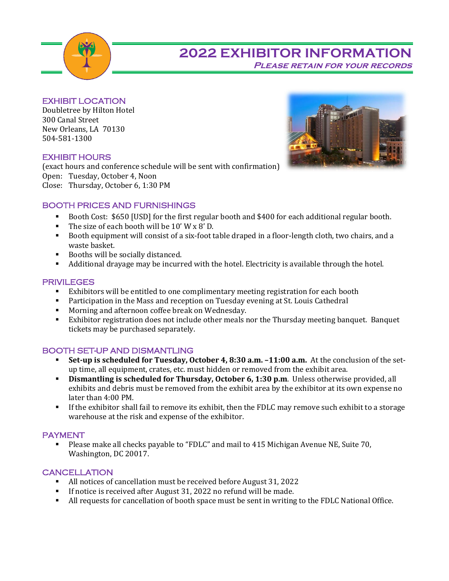

# **2022 EXHIBITOR INFORMATION Please retain for your records**

EXHIBIT LOCATION

Doubletree by Hilton Hotel 300 Canal Street New Orleans, LA 70130 504-581-1300

#### EXHIBIT HOURS

(exact hours and conference schedule will be sent with confirmation) Open: Tuesday, October 4, Noon Close: Thursday, October 6, 1:30 PM



- Booth Cost: \$650 [USD] for the first regular booth and \$400 for each additional regular booth.
- The size of each booth will be 10' W x 8' D.
- Booth equipment will consist of a six-foot table draped in a floor-length cloth, two chairs, and a waste basket.
- Booths will be socially distanced.
- Additional drayage may be incurred with the hotel. Electricity is available through the hotel.

#### PRIVILEGES

- Exhibitors will be entitled to one complimentary meeting registration for each booth
- **•** Participation in the Mass and reception on Tuesday evening at St. Louis Cathedral
- Morning and afternoon coffee break on Wednesday.
- Exhibitor registration does not include other meals nor the Thursday meeting banquet. Banquet tickets may be purchased separately.

#### BOOTH SET-UP AND DISMANTLING

- **Set-up is scheduled for Tuesday, October 4, 8:30 a.m. –11:00 a.m.** At the conclusion of the setup time, all equipment, crates, etc. must hidden or removed from the exhibit area.
- **Dismantling is scheduled for Thursday, October 6, 1:30 p.m**. Unless otherwise provided, all exhibits and debris must be removed from the exhibit area by the exhibitor at its own expense no later than 4:00 PM.
- **·** If the exhibitor shall fail to remove its exhibit, then the FDLC may remove such exhibit to a storage warehouse at the risk and expense of the exhibitor.

#### PAYMENT

▪ Please make all checks payable to "FDLC" and mail to 415 Michigan Avenue NE, Suite 70, Washington, DC 20017.

#### **CANCELLATION**

- All notices of cancellation must be received before August 31, 2022
- **If notice is received after August 31, 2022 no refund will be made.**
- All requests for cancellation of booth space must be sent in writing to the FDLC National Office.

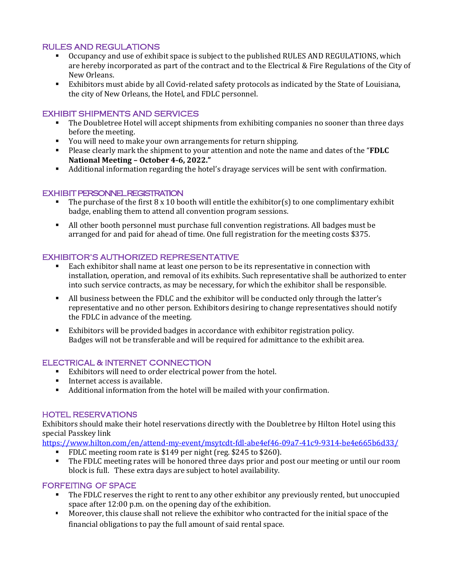#### RULES AND REGULATIONS

- Occupancy and use of exhibit space is subject to the published RULES AND REGULATIONS, which are hereby incorporated as part of the contract and to the Electrical & Fire Regulations of the City of New Orleans.
- Exhibitors must abide by all Covid-related safety protocols as indicated by the State of Louisiana, the city of New Orleans, the Hotel, and FDLC personnel.

#### EXHIBIT SHIPMENTS AND SERVICES

- The Doubletree Hotel will accept shipments from exhibiting companies no sooner than three days before the meeting.
- You will need to make your own arrangements for return shipping.
- Please clearly mark the shipment to your attention and note the name and dates of the "**FDLC National Meeting – October 4-6, 2022."**
- Additional information regarding the hotel's drayage services will be sent with confirmation.

#### EXHIBIT PERSONNEL REGISTRATION

- **•** The purchase of the first  $8 \times 10$  booth will entitle the exhibitor(s) to one complimentary exhibit badge, enabling them to attend all convention program sessions.
- All other booth personnel must purchase full convention registrations. All badges must be arranged for and paid for ahead of time. One full registration for the meeting costs \$375.

#### EXHIBITOR'S AUTHORIZED REPRESENTATIVE

- Each exhibitor shall name at least one person to be its representative in connection with installation, operation, and removal of its exhibits. Such representative shall be authorized to enter into such service contracts, as may be necessary, for which the exhibitor shall be responsible.
- All business between the FDLC and the exhibitor will be conducted only through the latter's representative and no other person. Exhibitors desiring to change representatives should notify the FDLC in advance of the meeting.
- Exhibitors will be provided badges in accordance with exhibitor registration policy. Badges will not be transferable and will be required for admittance to the exhibit area.

#### ELECTRICAL & INTERNET CONNECTION

- Exhibitors will need to order electrical power from the hotel.
- Internet access is available.
- Additional information from the hotel will be mailed with your confirmation.

#### HOTEL RESERVATIONS

Exhibitors should make their hotel reservations directly with the Doubletree by Hilton Hotel using this special Passkey link

<https://www.hilton.com/en/attend-my-event/msytcdt-fdl-abe4ef46-09a7-41c9-9314-be4e665b6d33/>

- FDLC meeting room rate is \$149 per night (reg. \$245 to \$260).
- The FDLC meeting rates will be honored three days prior and post our meeting or until our room block is full. These extra days are subject to hotel availability.

#### FORFEITING OF SPACE

- The FDLC reserves the right to rent to any other exhibitor any previously rented, but unoccupied space after 12:00 p.m. on the opening day of the exhibition.
- Moreover, this clause shall not relieve the exhibitor who contracted for the initial space of the financial obligations to pay the full amount of said rental space.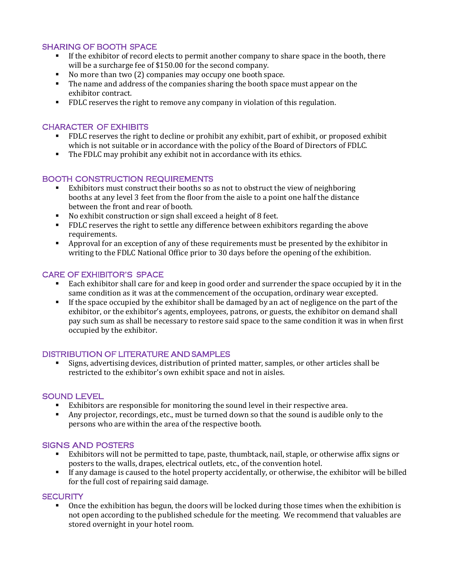#### SHARING OF BOOTH SPACE

- **·** If the exhibitor of record elects to permit another company to share space in the booth, there will be a surcharge fee of \$150.00 for the second company.
- No more than two (2) companies may occupy one booth space.
- The name and address of the companies sharing the booth space must appear on the exhibitor contract.
- FDLC reserves the right to remove any company in violation of this regulation.

#### CHARACTER OF EXHIBITS

- FDLC reserves the right to decline or prohibit any exhibit, part of exhibit, or proposed exhibit which is not suitable or in accordance with the policy of the Board of Directors of FDLC.
- The FDLC may prohibit any exhibit not in accordance with its ethics.

#### BOOTH CONSTRUCTION REQUIREMENTS

- Exhibitors must construct their booths so as not to obstruct the view of neighboring booths at any level 3 feet from the floor from the aisle to a point one half the distance between the front and rear of booth.
- No exhibit construction or sign shall exceed a height of 8 feet.
- FDLC reserves the right to settle any difference between exhibitors regarding the above requirements.
- Approval for an exception of any of these requirements must be presented by the exhibitor in writing to the FDLC National Office prior to 30 days before the opening of the exhibition.

#### CARE OF EXHIBITOR'S SPACE

- Each exhibitor shall care for and keep in good order and surrender the space occupied by it in the same condition as it was at the commencement of the occupation, ordinary wear excepted.
- If the space occupied by the exhibitor shall be damaged by an act of negligence on the part of the exhibitor, or the exhibitor's agents, employees, patrons, or guests, the exhibitor on demand shall pay such sum as shall be necessary to restore said space to the same condition it was in when first occupied by the exhibitor.

#### DISTRIBUTION OF LITERATURE AND SAMPLES

Signs, advertising devices, distribution of printed matter, samples, or other articles shall be restricted to the exhibitor's own exhibit space and not in aisles.

#### SOUND LEVEL

- Exhibitors are responsible for monitoring the sound level in their respective area.
- Any projector, recordings, etc., must be turned down so that the sound is audible only to the persons who are within the area of the respective booth.

#### SIGNS AND POSTERS

- Exhibitors will not be permitted to tape, paste, thumbtack, nail, staple, or otherwise affix signs or posters to the walls, drapes, electrical outlets, etc., of the convention hotel.
- If any damage is caused to the hotel property accidentally, or otherwise, the exhibitor will be billed for the full cost of repairing said damage.

#### **SECURITY**

Once the exhibition has begun, the doors will be locked during those times when the exhibition is not open according to the published schedule for the meeting. We recommend that valuables are stored overnight in your hotel room.